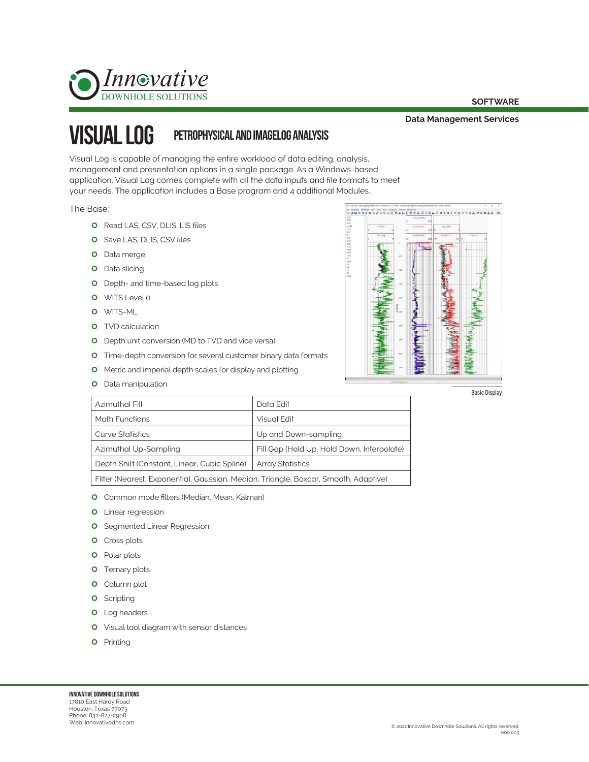

#### **SOFTWARE**

**Data Management Services**

### Visual log petrophysical and imagelog analysis

Visual Log is capable of managing the entire workload of data editing, analysis, management and presentation options in a single package. As a Windows-based application, Visual Log comes complete with all the data inputs and file formats to meet your needs. The application includes a Base program and 4 additional Modules.

The Base:

- **O** Read LAS, CSV, DLIS, LIS files
- **O** Save LAS, DLIS, CSV files
- **O** Data merge
- **O** Data slicing
- **O** Depth- and time-based log plots
- O WITS Level 0
- O WITS-ML
- **O** TVD calculation
- **O** Depth unit conversion (MD to TVD and vice versa)
- **O** Time-depth conversion for several customer binary data formats
- **O** Metric and imperial depth scales for display and plotting
- **O** Data manipulation



| Azimuthal Fill                                                                      | Data Edit                                  |
|-------------------------------------------------------------------------------------|--------------------------------------------|
| <b>Math Functions</b>                                                               | Visual Edit                                |
| <b>Curve Statistics</b>                                                             | Up and Down-sampling                       |
| Azimuthal Up-Sampling                                                               | Fill Gap (Hold Up, Hold Down, Interpolate) |
| Depth Shift (Constant, Linear, Cubic Spline)                                        | <b>Array Statistics</b>                    |
| Filter (Nearest, Exponential, Gaussian, Median, Triangle, Boxcar, Smooth, Adaptive) |                                            |

- **O** Common mode filters (Median, Mean, Kalman)
- **0** Linear regression
- **O** Segmented Linear Regression
- **O** Cross plots
- **O** Polar plots
- **O** Ternary plots
- **O** Column plot
- **o** Scripting
- **O** Log headers
- **O** Visual tool diagram with sensor distances
- **O** Printing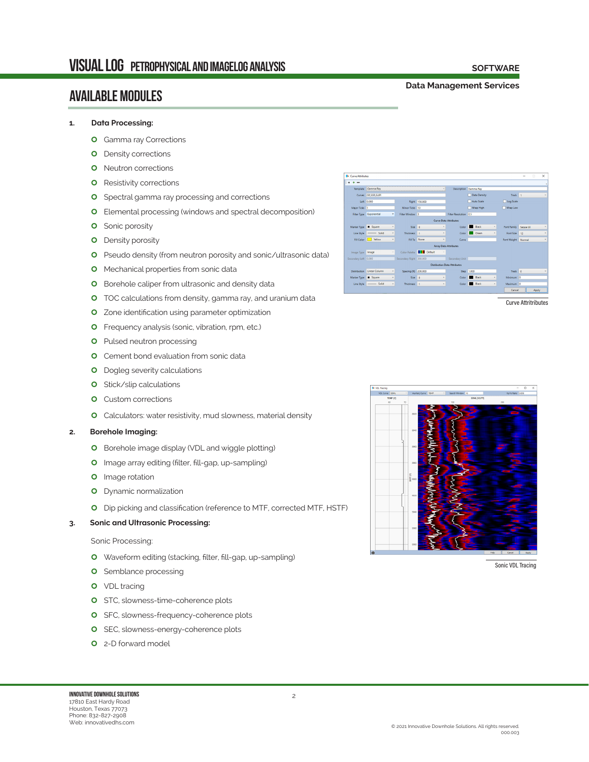### available modules

#### **Data Management Services**

**SOFTWARE**

## **1. Data Processing:**

- **O** Gamma ray Corrections
- **O** Density corrections
- **O** Neutron corrections
- **O** Resistivity corrections
- **O** Spectral gamma ray processing and corrections
- **O** Elemental processing (windows and spectral decomposition)
- **O** Sonic porosity
- **O** Density porosity
- **O** Pseudo density (from neutron porosity and sonic/ultrasonic data)
- **O** Mechanical properties from sonic data
- **O** Borehole caliper from ultrasonic and density data
- **O** TOC calculations from density, gamma ray, and uranium data
- **O** Zone identification using parameter optimization
- **O** Frequency analysis (sonic, vibration, rpm, etc.)
- **O** Pulsed neutron processing
- **O** Cement bond evaluation from sonic data
- **O** Dogleg severity calculations
- **O** Stick/slip calculations
- **O** Custom corrections
- **O** Calculators: water resistivity, mud slowness, material density

#### **2. Borehole Imaging:**

- **O** Borehole image display (VDL and wiggle plotting)
- **O** Image array editing (filter, fill-gap, up-sampling)
- **0** Image rotation
- **O** Dynamic normalization
- | Dip picking and classification (reference to MTF, corrected MTF, HSTF)

#### **3. Sonic and Ultrasonic Processing:**

#### Sonic Processing:

- **O** Waveform editing (stacking, filter, fill-gap, up-sampling)
- **O** Semblance processing
- **0** VDL tracing
- **O** STC, slowness-time-coherence plots
- **O** SFC, slowness-frequency-coherence plots
- **O** SEC, slowness-energy-coherence plots
- | 2-D forward model



Curve Attritributes



Sonic VDL Tracing